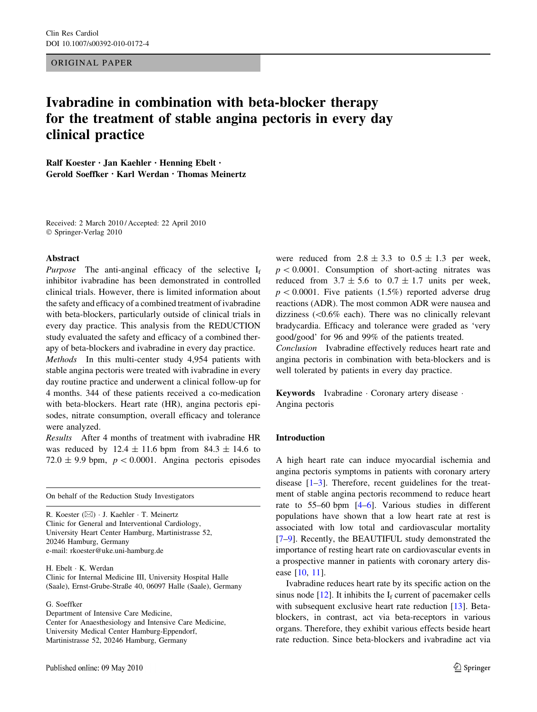ORIGINAL PAPER

# Ivabradine in combination with beta-blocker therapy for the treatment of stable angina pectoris in every day clinical practice

Ralf Koester • Jan Kaehler • Henning Ebelt • Gerold Soeffker • Karl Werdan • Thomas Meinertz

Received: 2 March 2010 / Accepted: 22 April 2010 © Springer-Verlag 2010

#### Abstract

*Purpose* The anti-anginal efficacy of the selective  $I_f$ inhibitor ivabradine has been demonstrated in controlled clinical trials. However, there is limited information about the safety and efficacy of a combined treatment of ivabradine with beta-blockers, particularly outside of clinical trials in every day practice. This analysis from the REDUCTION study evaluated the safety and efficacy of a combined therapy of beta-blockers and ivabradine in every day practice.

Methods In this multi-center study 4,954 patients with stable angina pectoris were treated with ivabradine in every day routine practice and underwent a clinical follow-up for 4 months. 344 of these patients received a co-medication with beta-blockers. Heart rate (HR), angina pectoris episodes, nitrate consumption, overall efficacy and tolerance were analyzed.

Results After 4 months of treatment with ivabradine HR was reduced by  $12.4 \pm 11.6$  bpm from  $84.3 \pm 14.6$  to 72.0  $\pm$  9.9 bpm,  $p < 0.0001$ . Angina pectoris episodes

On behalf of the Reduction Study Investigators

R. Koester (⊠) · J. Kaehler · T. Meinertz Clinic for General and Interventional Cardiology, University Heart Center Hamburg, Martinistrasse 52, 20246 Hamburg, Germany e-mail: rkoester@uke.uni-hamburg.de

H. Ebelt - K. Werdan Clinic for Internal Medicine III, University Hospital Halle (Saale), Ernst-Grube-Straße 40, 06097 Halle (Saale), Germany

G. Soeffker

Department of Intensive Care Medicine, Center for Anaesthesiology and Intensive Care Medicine, University Medical Center Hamburg-Eppendorf, Martinistrasse 52, 20246 Hamburg, Germany

were reduced from  $2.8 \pm 3.3$  to  $0.5 \pm 1.3$  per week,  $p < 0.0001$ . Consumption of short-acting nitrates was reduced from  $3.7 \pm 5.6$  to  $0.7 \pm 1.7$  units per week,  $p<0.0001$ . Five patients (1.5%) reported adverse drug reactions (ADR). The most common ADR were nausea and dizziness  $(<0.6\%$  each). There was no clinically relevant bradycardia. Efficacy and tolerance were graded as 'very good/good' for 96 and 99% of the patients treated.

Conclusion Ivabradine effectively reduces heart rate and angina pectoris in combination with beta-blockers and is well tolerated by patients in every day practice.

Keywords Ivabradine · Coronary artery disease · Angina pectoris

# Introduction

A high heart rate can induce myocardial ischemia and angina pectoris symptoms in patients with coronary artery disease  $[1-3]$ . Therefore, recent guidelines for the treatment of stable angina pectoris recommend to reduce heart rate to 55–60 bpm [[4–6\]](#page-6-0). Various studies in different populations have shown that a low heart rate at rest is associated with low total and cardiovascular mortality [\[7–9](#page-6-0)]. Recently, the BEAUTIFUL study demonstrated the importance of resting heart rate on cardiovascular events in a prospective manner in patients with coronary artery disease [\[10](#page-6-0), [11\]](#page-6-0).

Ivabradine reduces heart rate by its specific action on the sinus node  $[12]$  $[12]$ . It inhibits the  $I_f$  current of pacemaker cells with subsequent exclusive heart rate reduction [\[13](#page-6-0)]. Betablockers, in contrast, act via beta-receptors in various organs. Therefore, they exhibit various effects beside heart rate reduction. Since beta-blockers and ivabradine act via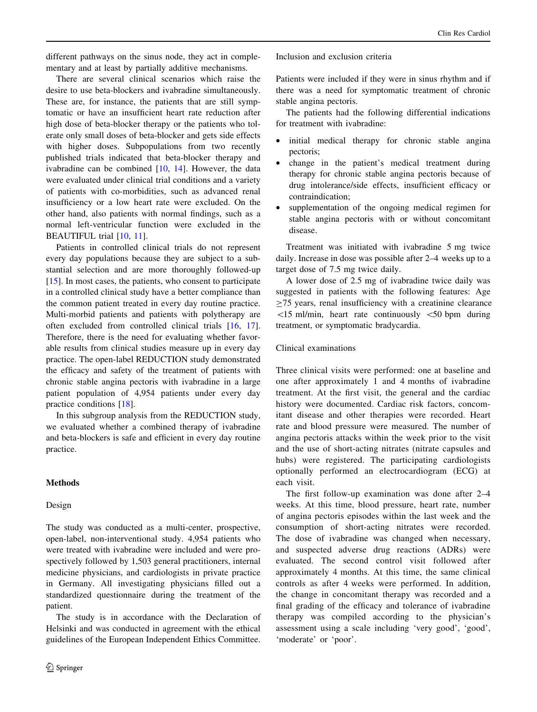different pathways on the sinus node, they act in complementary and at least by partially additive mechanisms.

There are several clinical scenarios which raise the desire to use beta-blockers and ivabradine simultaneously. These are, for instance, the patients that are still symptomatic or have an insufficient heart rate reduction after high dose of beta-blocker therapy or the patients who tolerate only small doses of beta-blocker and gets side effects with higher doses. Subpopulations from two recently published trials indicated that beta-blocker therapy and ivabradine can be combined [\[10](#page-6-0), [14\]](#page-6-0). However, the data were evaluated under clinical trial conditions and a variety of patients with co-morbidities, such as advanced renal insufficiency or a low heart rate were excluded. On the other hand, also patients with normal findings, such as a normal left-ventricular function were excluded in the BEAUTIFUL trial [[10,](#page-6-0) [11](#page-6-0)].

Patients in controlled clinical trials do not represent every day populations because they are subject to a substantial selection and are more thoroughly followed-up  $[15]$  $[15]$ . In most cases, the patients, who consent to participate in a controlled clinical study have a better compliance than the common patient treated in every day routine practice. Multi-morbid patients and patients with polytherapy are often excluded from controlled clinical trials [\[16](#page-6-0), [17](#page-6-0)]. Therefore, there is the need for evaluating whether favorable results from clinical studies measure up in every day practice. The open-label REDUCTION study demonstrated the efficacy and safety of the treatment of patients with chronic stable angina pectoris with ivabradine in a large patient population of 4,954 patients under every day practice conditions [[18\]](#page-6-0).

In this subgroup analysis from the REDUCTION study, we evaluated whether a combined therapy of ivabradine and beta-blockers is safe and efficient in every day routine practice.

## Methods

# Design

The study was conducted as a multi-center, prospective, open-label, non-interventional study. 4,954 patients who were treated with ivabradine were included and were prospectively followed by 1,503 general practitioners, internal medicine physicians, and cardiologists in private practice in Germany. All investigating physicians filled out a standardized questionnaire during the treatment of the patient.

The study is in accordance with the Declaration of Helsinki and was conducted in agreement with the ethical guidelines of the European Independent Ethics Committee.

Inclusion and exclusion criteria

Patients were included if they were in sinus rhythm and if there was a need for symptomatic treatment of chronic stable angina pectoris.

The patients had the following differential indications for treatment with ivabradine:

- initial medical therapy for chronic stable angina pectoris;
- change in the patient's medical treatment during therapy for chronic stable angina pectoris because of drug intolerance/side effects, insufficient efficacy or contraindication;
- supplementation of the ongoing medical regimen for stable angina pectoris with or without concomitant disease.

Treatment was initiated with ivabradine 5 mg twice daily. Increase in dose was possible after 2–4 weeks up to a target dose of 7.5 mg twice daily.

A lower dose of 2.5 mg of ivabradine twice daily was suggested in patients with the following features: Age  $\geq$ 75 years, renal insufficiency with a creatinine clearance  $\leq$ 15 ml/min, heart rate continuously  $\leq$ 50 bpm during treatment, or symptomatic bradycardia.

## Clinical examinations

Three clinical visits were performed: one at baseline and one after approximately 1 and 4 months of ivabradine treatment. At the first visit, the general and the cardiac history were documented. Cardiac risk factors, concomitant disease and other therapies were recorded. Heart rate and blood pressure were measured. The number of angina pectoris attacks within the week prior to the visit and the use of short-acting nitrates (nitrate capsules and hubs) were registered. The participating cardiologists optionally performed an electrocardiogram (ECG) at each visit.

The first follow-up examination was done after 2–4 weeks. At this time, blood pressure, heart rate, number of angina pectoris episodes within the last week and the consumption of short-acting nitrates were recorded. The dose of ivabradine was changed when necessary, and suspected adverse drug reactions (ADRs) were evaluated. The second control visit followed after approximately 4 months. At this time, the same clinical controls as after 4 weeks were performed. In addition, the change in concomitant therapy was recorded and a final grading of the efficacy and tolerance of ivabradine therapy was compiled according to the physician's assessment using a scale including 'very good', 'good', 'moderate' or 'poor'.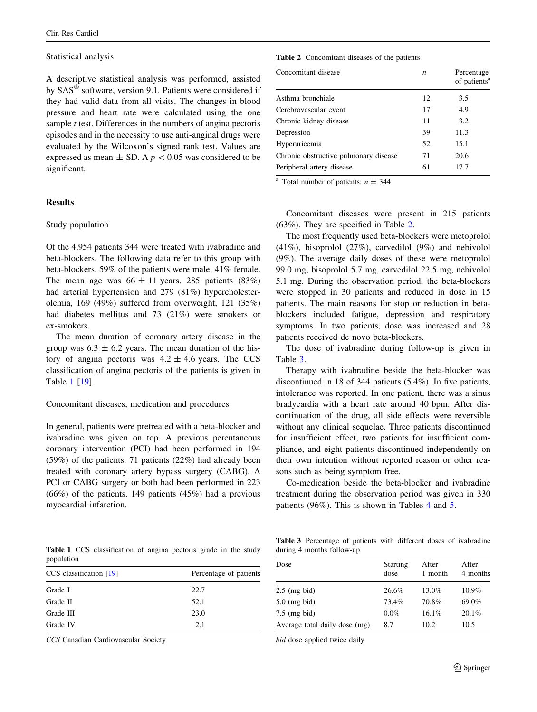#### Statistical analysis

A descriptive statistical analysis was performed, assisted by SAS<sup>®</sup> software, version 9.1. Patients were considered if they had valid data from all visits. The changes in blood pressure and heart rate were calculated using the one sample *t* test. Differences in the numbers of angina pectoris episodes and in the necessity to use anti-anginal drugs were evaluated by the Wilcoxon's signed rank test. Values are expressed as mean  $\pm$  SD. A  $p < 0.05$  was considered to be significant.

# **Results**

## Study population

Of the 4,954 patients 344 were treated with ivabradine and beta-blockers. The following data refer to this group with beta-blockers. 59% of the patients were male, 41% female. The mean age was  $66 \pm 11$  years. 285 patients (83%) had arterial hypertension and 279 (81%) hypercholesterolemia, 169 (49%) suffered from overweight, 121 (35%) had diabetes mellitus and 73 (21%) were smokers or ex-smokers.

The mean duration of coronary artery disease in the group was  $6.3 \pm 6.2$  years. The mean duration of the history of angina pectoris was  $4.2 \pm 4.6$  years. The CCS classification of angina pectoris of the patients is given in Table 1 [[19\]](#page-7-0).

#### Concomitant diseases, medication and procedures

In general, patients were pretreated with a beta-blocker and ivabradine was given on top. A previous percutaneous coronary intervention (PCI) had been performed in 194 (59%) of the patients. 71 patients (22%) had already been treated with coronary artery bypass surgery (CABG). A PCI or CABG surgery or both had been performed in 223 (66%) of the patients. 149 patients (45%) had a previous myocardial infarction.

Table 2 Concomitant diseases of the patients

| Concomitant disease                   | n  | Percentage<br>of patients <sup>a</sup> |
|---------------------------------------|----|----------------------------------------|
| Asthma bronchiale                     | 12 | 3.5                                    |
| Cerebrovascular event                 | 17 | 4.9                                    |
| Chronic kidney disease                | 11 | 3.2                                    |
| Depression                            | 39 | 11.3                                   |
| Hyperuricemia                         | 52 | 15.1                                   |
| Chronic obstructive pulmonary disease | 71 | 20.6                                   |
| Peripheral artery disease             | 61 | 17.7                                   |
|                                       |    |                                        |

<sup>a</sup> Total number of patients:  $n = 344$ 

Concomitant diseases were present in 215 patients (63%). They are specified in Table 2.

The most frequently used beta-blockers were metoprolol (41%), bisoprolol (27%), carvedilol (9%) and nebivolol (9%). The average daily doses of these were metoprolol 99.0 mg, bisoprolol 5.7 mg, carvedilol 22.5 mg, nebivolol 5.1 mg. During the observation period, the beta-blockers were stopped in 30 patients and reduced in dose in 15 patients. The main reasons for stop or reduction in betablockers included fatigue, depression and respiratory symptoms. In two patients, dose was increased and 28 patients received de novo beta-blockers.

The dose of ivabradine during follow-up is given in Table 3.

Therapy with ivabradine beside the beta-blocker was discontinued in 18 of 344 patients (5.4%). In five patients, intolerance was reported. In one patient, there was a sinus bradycardia with a heart rate around 40 bpm. After discontinuation of the drug, all side effects were reversible without any clinical sequelae. Three patients discontinued for insufficient effect, two patients for insufficient compliance, and eight patients discontinued independently on their own intention without reported reason or other reasons such as being symptom free.

Co-medication beside the beta-blocker and ivabradine treatment during the observation period was given in 330 patients (96%). This is shown in Tables [4](#page-3-0) and [5.](#page-3-0)

Table 1 CCS classification of angina pectoris grade in the study population

| Percentage of patients |  |
|------------------------|--|
| 22.7                   |  |
| 52.1                   |  |
| 23.0                   |  |
| 2.1                    |  |
|                        |  |

Table 3 Percentage of patients with different doses of ivabradine during 4 months follow-up

| Dose                          | <b>Starting</b><br>dose | After<br>1 month | After<br>4 months |
|-------------------------------|-------------------------|------------------|-------------------|
| $2.5 \text{ (mg bid)}$        | 26.6%                   | 13.0%            | $10.9\%$          |
| $5.0$ (mg bid)                | 73.4%                   | 70.8%            | 69.0%             |
| $7.5$ (mg bid)                | $0.0\%$                 | $16.1\%$         | 20.1%             |
| Average total daily dose (mg) | 8.7                     | 10.2             | 10.5              |

CCS Canadian Cardiovascular Society

bid dose applied twice daily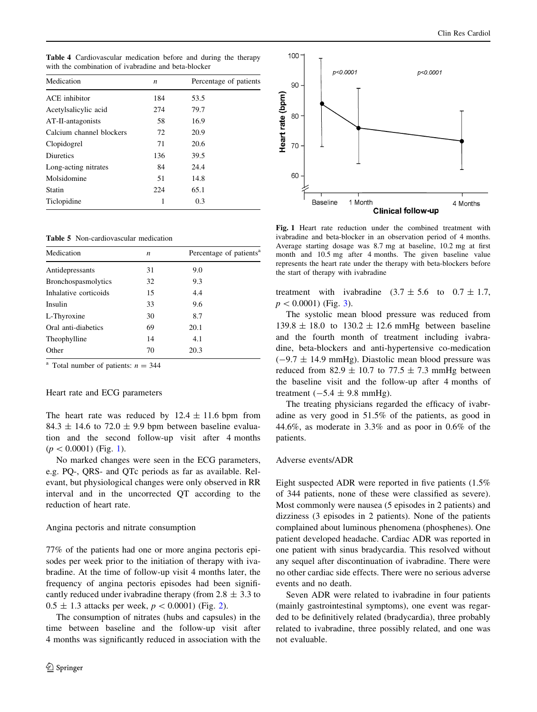<span id="page-3-0"></span>Table 4 Cardiovascular medication before and during the therapy with the combination of ivabradine and beta-blocker

| Medication               | n   | Percentage of patients |
|--------------------------|-----|------------------------|
| ACE inhibitor            | 184 | 53.5                   |
| Acetylsalicylic acid     | 274 | 79.7                   |
| AT-II-antagonists        | 58  | 16.9                   |
| Calcium channel blockers | 72  | 20.9                   |
| Clopidogrel              | 71  | 20.6                   |
| <b>Diuretics</b>         | 136 | 39.5                   |
| Long-acting nitrates     | 84  | 24.4                   |
| Molsidomine              | 51  | 14.8                   |
| Statin                   | 224 | 65.1                   |
| Ticlopidine              | 1   | 0.3                    |
|                          |     |                        |

Table 5 Non-cardiovascular medication

| Medication                 | n  | Percentage of patients <sup>a</sup> |  |
|----------------------------|----|-------------------------------------|--|
| Antidepressants            | 31 | 9.0                                 |  |
| <b>Bronchospasmolytics</b> | 32 | 9.3                                 |  |
| Inhalative corticoids      | 15 | 4.4                                 |  |
| Insulin                    | 33 | 9.6                                 |  |
| L-Thyroxine                | 30 | 8.7                                 |  |
| Oral anti-diabetics        | 69 | 20.1                                |  |
| Theophylline               | 14 | 4.1                                 |  |
| Other                      | 70 | 20.3                                |  |

<sup>a</sup> Total number of patients:  $n = 344$ 

# Heart rate and ECG parameters

The heart rate was reduced by  $12.4 \pm 11.6$  bpm from 84.3  $\pm$  14.6 to 72.0  $\pm$  9.9 bpm between baseline evaluation and the second follow-up visit after 4 months  $(p<0.0001)$  (Fig. 1).

No marked changes were seen in the ECG parameters, e.g. PQ-, QRS- and QTc periods as far as available. Relevant, but physiological changes were only observed in RR interval and in the uncorrected QT according to the reduction of heart rate.

## Angina pectoris and nitrate consumption

77% of the patients had one or more angina pectoris episodes per week prior to the initiation of therapy with ivabradine. At the time of follow-up visit 4 months later, the frequency of angina pectoris episodes had been significantly reduced under ivabradine therapy (from  $2.8 \pm 3.3$  to  $0.5 \pm 1.3$  attacks per week,  $p < 0.0001$ ) (Fig. [2\)](#page-4-0).

The consumption of nitrates (hubs and capsules) in the time between baseline and the follow-up visit after 4 months was significantly reduced in association with the



Fig. 1 Heart rate reduction under the combined treatment with ivabradine and beta-blocker in an observation period of 4 months. Average starting dosage was 8.7 mg at baseline, 10.2 mg at first month and 10.5 mg after 4 months. The given baseline value represents the heart rate under the therapy with beta-blockers before the start of therapy with ivabradine

treatment with ivabradine  $(3.7 \pm 5.6 \text{ to } 0.7 \pm 1.7,$  $p\leq0.0001$ ) (Fig. [3\)](#page-4-0).

The systolic mean blood pressure was reduced from  $139.8 \pm 18.0$  to  $130.2 \pm 12.6$  mmHg between baseline and the fourth month of treatment including ivabradine, beta-blockers and anti-hypertensive co-medication  $(-9.7 \pm 14.9 \text{ mmHg})$ . Diastolic mean blood pressure was reduced from  $82.9 \pm 10.7$  to  $77.5 \pm 7.3$  mmHg between the baseline visit and the follow-up after 4 months of treatment  $(-5.4 \pm 9.8 \text{ mmHg})$ .

The treating physicians regarded the efficacy of ivabradine as very good in 51.5% of the patients, as good in 44.6%, as moderate in 3.3% and as poor in 0.6% of the patients.

## Adverse events/ADR

Eight suspected ADR were reported in five patients (1.5% of 344 patients, none of these were classified as severe). Most commonly were nausea (5 episodes in 2 patients) and dizziness (3 episodes in 2 patients). None of the patients complained about luminous phenomena (phosphenes). One patient developed headache. Cardiac ADR was reported in one patient with sinus bradycardia. This resolved without any sequel after discontinuation of ivabradine. There were no other cardiac side effects. There were no serious adverse events and no death.

Seven ADR were related to ivabradine in four patients (mainly gastrointestinal symptoms), one event was regarded to be definitively related (bradycardia), three probably related to ivabradine, three possibly related, and one was not evaluable.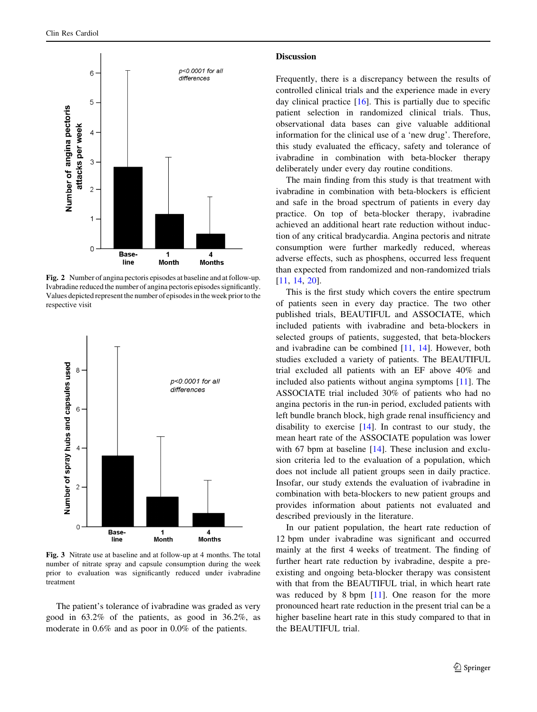<span id="page-4-0"></span>

Fig. 2 Number of angina pectoris episodes at baseline and at follow-up. Ivabradine reduced the number of angina pectoris episodes significantly. Values depicted represent the number of episodes in the week prior to the respective visit



Fig. 3 Nitrate use at baseline and at follow-up at 4 months. The total number of nitrate spray and capsule consumption during the week prior to evaluation was significantly reduced under ivabradine treatment

The patient's tolerance of ivabradine was graded as very good in 63.2% of the patients, as good in 36.2%, as moderate in 0.6% and as poor in 0.0% of the patients.

#### **Discussion**

Frequently, there is a discrepancy between the results of controlled clinical trials and the experience made in every day clinical practice  $[16]$  $[16]$ . This is partially due to specific patient selection in randomized clinical trials. Thus, observational data bases can give valuable additional information for the clinical use of a 'new drug'. Therefore, this study evaluated the efficacy, safety and tolerance of ivabradine in combination with beta-blocker therapy deliberately under every day routine conditions.

The main finding from this study is that treatment with ivabradine in combination with beta-blockers is efficient and safe in the broad spectrum of patients in every day practice. On top of beta-blocker therapy, ivabradine achieved an additional heart rate reduction without induction of any critical bradycardia. Angina pectoris and nitrate consumption were further markedly reduced, whereas adverse effects, such as phosphens, occurred less frequent than expected from randomized and non-randomized trials [\[11](#page-6-0), [14](#page-6-0), [20](#page-7-0)].

This is the first study which covers the entire spectrum of patients seen in every day practice. The two other published trials, BEAUTIFUL and ASSOCIATE, which included patients with ivabradine and beta-blockers in selected groups of patients, suggested, that beta-blockers and ivabradine can be combined [[11,](#page-6-0) [14](#page-6-0)]. However, both studies excluded a variety of patients. The BEAUTIFUL trial excluded all patients with an EF above 40% and included also patients without angina symptoms [[11\]](#page-6-0). The ASSOCIATE trial included 30% of patients who had no angina pectoris in the run-in period, excluded patients with left bundle branch block, high grade renal insufficiency and disability to exercise [[14\]](#page-6-0). In contrast to our study, the mean heart rate of the ASSOCIATE population was lower with 67 bpm at baseline [\[14](#page-6-0)]. These inclusion and exclusion criteria led to the evaluation of a population, which does not include all patient groups seen in daily practice. Insofar, our study extends the evaluation of ivabradine in combination with beta-blockers to new patient groups and provides information about patients not evaluated and described previously in the literature.

In our patient population, the heart rate reduction of 12 bpm under ivabradine was significant and occurred mainly at the first 4 weeks of treatment. The finding of further heart rate reduction by ivabradine, despite a preexisting and ongoing beta-blocker therapy was consistent with that from the BEAUTIFUL trial, in which heart rate was reduced by 8 bpm [\[11](#page-6-0)]. One reason for the more pronounced heart rate reduction in the present trial can be a higher baseline heart rate in this study compared to that in the BEAUTIFUL trial.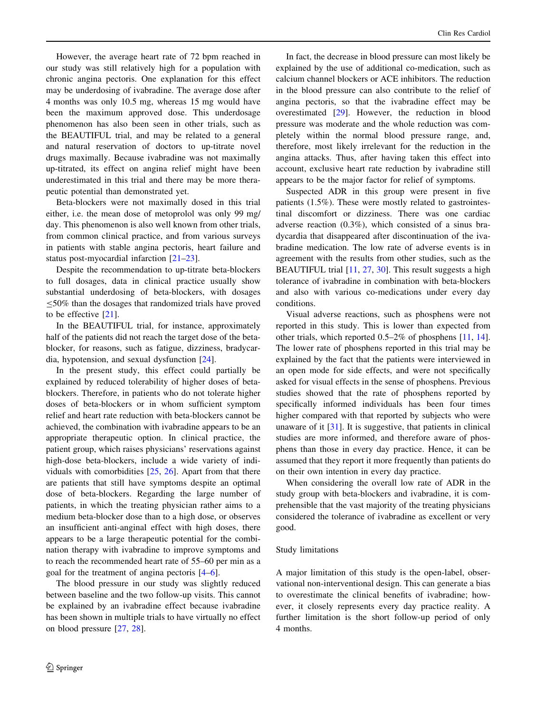However, the average heart rate of 72 bpm reached in our study was still relatively high for a population with chronic angina pectoris. One explanation for this effect may be underdosing of ivabradine. The average dose after 4 months was only 10.5 mg, whereas 15 mg would have been the maximum approved dose. This underdosage phenomenon has also been seen in other trials, such as the BEAUTIFUL trial, and may be related to a general and natural reservation of doctors to up-titrate novel drugs maximally. Because ivabradine was not maximally up-titrated, its effect on angina relief might have been underestimated in this trial and there may be more therapeutic potential than demonstrated yet.

Beta-blockers were not maximally dosed in this trial either, i.e. the mean dose of metoprolol was only 99 mg/ day. This phenomenon is also well known from other trials, from common clinical practice, and from various surveys in patients with stable angina pectoris, heart failure and status post-myocardial infarction [\[21–23](#page-7-0)].

Despite the recommendation to up-titrate beta-blockers to full dosages, data in clinical practice usually show substantial underdosing of beta-blockers, with dosages  $\leq$ 50% than the dosages that randomized trials have proved to be effective [[21\]](#page-7-0).

In the BEAUTIFUL trial, for instance, approximately half of the patients did not reach the target dose of the betablocker, for reasons, such as fatigue, dizziness, bradycardia, hypotension, and sexual dysfunction [\[24](#page-7-0)].

In the present study, this effect could partially be explained by reduced tolerability of higher doses of betablockers. Therefore, in patients who do not tolerate higher doses of beta-blockers or in whom sufficient symptom relief and heart rate reduction with beta-blockers cannot be achieved, the combination with ivabradine appears to be an appropriate therapeutic option. In clinical practice, the patient group, which raises physicians' reservations against high-dose beta-blockers, include a wide variety of individuals with comorbidities  $[25, 26]$  $[25, 26]$  $[25, 26]$  $[25, 26]$ . Apart from that there are patients that still have symptoms despite an optimal dose of beta-blockers. Regarding the large number of patients, in which the treating physician rather aims to a medium beta-blocker dose than to a high dose, or observes an insufficient anti-anginal effect with high doses, there appears to be a large therapeutic potential for the combination therapy with ivabradine to improve symptoms and to reach the recommended heart rate of 55–60 per min as a goal for the treatment of angina pectoris [\[4–6](#page-6-0)].

The blood pressure in our study was slightly reduced between baseline and the two follow-up visits. This cannot be explained by an ivabradine effect because ivabradine has been shown in multiple trials to have virtually no effect on blood pressure [\[27](#page-7-0), [28](#page-7-0)].

In fact, the decrease in blood pressure can most likely be explained by the use of additional co-medication, such as calcium channel blockers or ACE inhibitors. The reduction in the blood pressure can also contribute to the relief of angina pectoris, so that the ivabradine effect may be overestimated [[29\]](#page-7-0). However, the reduction in blood pressure was moderate and the whole reduction was completely within the normal blood pressure range, and, therefore, most likely irrelevant for the reduction in the angina attacks. Thus, after having taken this effect into account, exclusive heart rate reduction by ivabradine still appears to be the major factor for relief of symptoms.

Suspected ADR in this group were present in five patients (1.5%). These were mostly related to gastrointestinal discomfort or dizziness. There was one cardiac adverse reaction (0.3%), which consisted of a sinus bradycardia that disappeared after discontinuation of the ivabradine medication. The low rate of adverse events is in agreement with the results from other studies, such as the BEAUTIFUL trial [[11,](#page-6-0) [27](#page-7-0), [30\]](#page-7-0). This result suggests a high tolerance of ivabradine in combination with beta-blockers and also with various co-medications under every day conditions.

Visual adverse reactions, such as phosphens were not reported in this study. This is lower than expected from other trials, which reported 0.5–2% of phosphens [[11,](#page-6-0) [14](#page-6-0)]. The lower rate of phosphens reported in this trial may be explained by the fact that the patients were interviewed in an open mode for side effects, and were not specifically asked for visual effects in the sense of phosphens. Previous studies showed that the rate of phosphens reported by specifically informed individuals has been four times higher compared with that reported by subjects who were unaware of it  $[31]$  $[31]$ . It is suggestive, that patients in clinical studies are more informed, and therefore aware of phosphens than those in every day practice. Hence, it can be assumed that they report it more frequently than patients do on their own intention in every day practice.

When considering the overall low rate of ADR in the study group with beta-blockers and ivabradine, it is comprehensible that the vast majority of the treating physicians considered the tolerance of ivabradine as excellent or very good.

#### Study limitations

A major limitation of this study is the open-label, observational non-interventional design. This can generate a bias to overestimate the clinical benefits of ivabradine; however, it closely represents every day practice reality. A further limitation is the short follow-up period of only 4 months.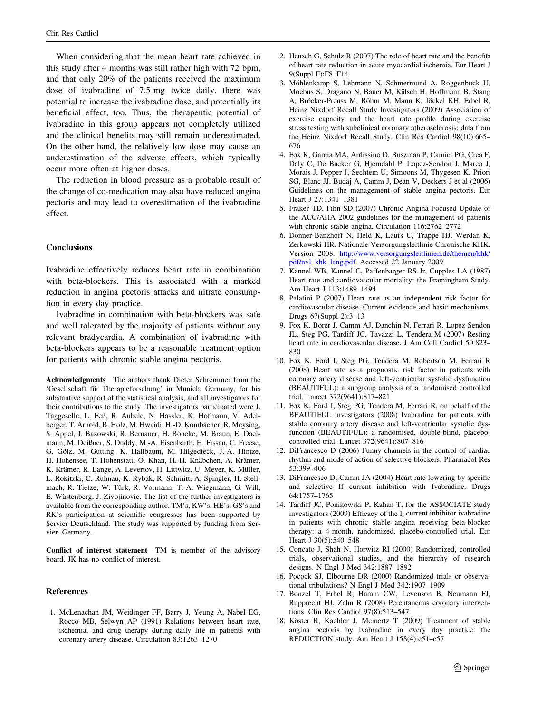<span id="page-6-0"></span>When considering that the mean heart rate achieved in this study after 4 months was still rather high with 72 bpm, and that only 20% of the patients received the maximum dose of ivabradine of 7.5 mg twice daily, there was potential to increase the ivabradine dose, and potentially its beneficial effect, too. Thus, the therapeutic potential of ivabradine in this group appears not completely utilized and the clinical benefits may still remain underestimated. On the other hand, the relatively low dose may cause an underestimation of the adverse effects, which typically occur more often at higher doses.

The reduction in blood pressure as a probable result of the change of co-medication may also have reduced angina pectoris and may lead to overestimation of the ivabradine effect.

#### **Conclusions**

Ivabradine effectively reduces heart rate in combination with beta-blockers. This is associated with a marked reduction in angina pectoris attacks and nitrate consumption in every day practice.

Ivabradine in combination with beta-blockers was safe and well tolerated by the majority of patients without any relevant bradycardia. A combination of ivabradine with beta-blockers appears to be a reasonable treatment option for patients with chronic stable angina pectoris.

Acknowledgments The authors thank Dieter Schremmer from the 'Gesellschaft für Therapieforschung' in Munich, Germany, for his substantive support of the statistical analysis, and all investigators for their contributions to the study. The investigators participated were J. Taggeselle, L. Feß, R. Aubele, N. Hassler, K. Hofmann, V. Adelberger, T. Arnold, B. Holz, M. Hwaidi, H.-D. Kombächer, R. Meysing, S. Appel, J. Bazowski, R. Bernauer, H. Böneke, M. Braun, E. Daelmann, M. Deißner, S. Duddy, M.-A. Eisenbarth, H. Fissan, C. Freese, G. Gölz, M. Gutting, K. Hallbaum, M. Hilgedieck, J.-A. Hintze, H. Hohensee, T. Hohenstatt, O. Khan, H.-H. Knäbchen, A. Krämer, K. Krämer, R. Lange, A. Levertov, H. Littwitz, U. Meyer, K. Müller, L. Rokitzki, C. Ruhnau, K. Rybak, R. Schmitt, A. Spingler, H. Stellmach, R. Tietze, W. Türk, R. Vormann, T.-A. Wiegmann, G. Will, E. Wüstenberg, J. Zivojinovic. The list of the further investigators is available from the corresponding author. TM's, KW's, HE's, GS's and RK's participation at scientific congresses has been supported by Servier Deutschland. The study was supported by funding from Servier, Germany.

Conflict of interest statement TM is member of the advisory board. JK has no conflict of interest.

#### References

1. McLenachan JM, Weidinger FF, Barry J, Yeung A, Nabel EG, Rocco MB, Selwyn AP (1991) Relations between heart rate, ischemia, and drug therapy during daily life in patients with coronary artery disease. Circulation 83:1263–1270

- 2. Heusch G, Schulz R (2007) The role of heart rate and the benefits of heart rate reduction in acute myocardial ischemia. Eur Heart J 9(Suppl F):F8–F14
- 3. Möhlenkamp S, Lehmann N, Schmermund A, Roggenbuck U, Moebus S, Dragano N, Bauer M, Kälsch H, Hoffmann B, Stang A, Bröcker-Preuss M, Böhm M, Mann K, Jöckel KH, Erbel R, Heinz Nixdorf Recall Study Investigators (2009) Association of exercise capacity and the heart rate profile during exercise stress testing with subclinical coronary atherosclerosis: data from the Heinz Nixdorf Recall Study. Clin Res Cardiol 98(10):665– 676
- 4. Fox K, Garcia MA, Ardissino D, Buszman P, Camici PG, Crea F, Daly C, De Backer G, Hjemdahl P, Lopez-Sendon J, Marco J, Morais J, Pepper J, Sechtem U, Simoons M, Thygesen K, Priori SG, Blanc JJ, Budaj A, Camm J, Dean V, Deckers J et al (2006) Guidelines on the management of stable angina pectoris. Eur Heart J 27:1341–1381
- 5. Fraker TD, Fihn SD (2007) Chronic Angina Focused Update of the ACC/AHA 2002 guidelines for the management of patients with chronic stable angina. Circulation 116:2762–2772
- 6. Donner-Banzhoff N, Held K, Laufs U, Trappe HJ, Werdan K, Zerkowski HR. Nationale Versorgungsleitlinie Chronische KHK. Version 2008. [http://www.versorgungsleitlinien.de/themen/khk/](http://www.versorgungsleitlinien.de/themen/khk/pdf/nvl_khk_lang.pdf) [pdf/nvl\\_khk\\_lang.pdf](http://www.versorgungsleitlinien.de/themen/khk/pdf/nvl_khk_lang.pdf). Accessed 22 January 2009
- 7. Kannel WB, Kannel C, Paffenbarger RS Jr, Cupples LA (1987) Heart rate and cardiovascular mortality: the Framingham Study. Am Heart J 113:1489–1494
- 8. Palatini P (2007) Heart rate as an independent risk factor for cardiovascular disease. Current evidence and basic mechanisms. Drugs 67(Suppl 2):3–13
- 9. Fox K, Borer J, Camm AJ, Danchin N, Ferrari R, Lopez Sendon JL, Steg PG, Tardiff JC, Tavazzi L, Tendera M (2007) Resting heart rate in cardiovascular disease. J Am Coll Cardiol 50:823– 830
- 10. Fox K, Ford I, Steg PG, Tendera M, Robertson M, Ferrari R (2008) Heart rate as a prognostic risk factor in patients with coronary artery disease and left-ventricular systolic dysfunction (BEAUTIFUL): a subgroup analysis of a randomised controlled trial. Lancet 372(9641):817–821
- 11. Fox K, Ford I, Steg PG, Tendera M, Ferrari R, on behalf of the BEAUTIFUL investigators (2008) Ivabradine for patients with stable coronary artery disease and left-ventricular systolic dysfunction (BEAUTIFUL): a randomised, double-blind, placebocontrolled trial. Lancet 372(9641):807–816
- 12. DiFrancesco D (2006) Funny channels in the control of cardiac rhythm and mode of action of selective blockers. Pharmacol Res 53:399–406
- 13. DiFrancesco D, Camm JA (2004) Heart rate lowering by specific and selective If current inhibition with Ivabradine. Drugs 64:1757–1765
- 14. Tardiff JC, Ponikowski P, Kahan T, for the ASSOCIATE study investigators (2009) Efficacy of the  $I_f$  current inhibitor ivabradine in patients with chronic stable angina receiving beta-blocker therapy: a 4 month, randomized, placebo-controlled trial. Eur Heart J 30(5):540–548
- 15. Concato J, Shah N, Horwitz RI (2000) Randomized, controlled trials, observational studies, and the hierarchy of research designs. N Engl J Med 342:1887–1892
- 16. Pocock SJ, Elbourne DR (2000) Randomized trials or observational tribulations? N Engl J Med 342:1907–1909
- 17. Bonzel T, Erbel R, Hamm CW, Levenson B, Neumann FJ, Rupprecht HJ, Zahn R (2008) Percutaneous coronary interventions. Clin Res Cardiol 97(8):513–547
- 18. Köster R, Kaehler J, Meinertz T (2009) Treatment of stable angina pectoris by ivabradine in every day practice: the REDUCTION study. Am Heart J 158(4):e51–e57